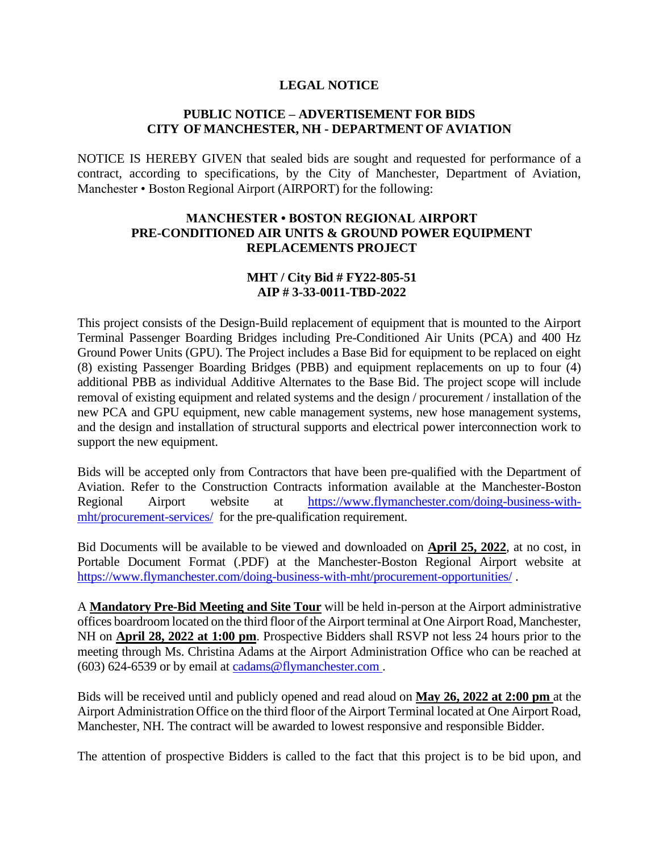## **LEGAL NOTICE**

## **PUBLIC NOTICE – ADVERTISEMENT FOR BIDS CITY OF MANCHESTER, NH - DEPARTMENT OF AVIATION**

NOTICE IS HEREBY GIVEN that sealed bids are sought and requested for performance of a contract, according to specifications, by the City of Manchester, Department of Aviation, Manchester • Boston Regional Airport (AIRPORT) for the following:

## **MANCHESTER • BOSTON REGIONAL AIRPORT PRE-CONDITIONED AIR UNITS & GROUND POWER EQUIPMENT REPLACEMENTS PROJECT**

## **MHT / City Bid # FY22-805-51 AIP # 3-33-0011-TBD-2022**

This project consists of the Design-Build replacement of equipment that is mounted to the Airport Terminal Passenger Boarding Bridges including Pre-Conditioned Air Units (PCA) and 400 Hz Ground Power Units (GPU). The Project includes a Base Bid for equipment to be replaced on eight (8) existing Passenger Boarding Bridges (PBB) and equipment replacements on up to four (4) additional PBB as individual Additive Alternates to the Base Bid. The project scope will include removal of existing equipment and related systems and the design / procurement / installation of the new PCA and GPU equipment, new cable management systems, new hose management systems, and the design and installation of structural supports and electrical power interconnection work to support the new equipment.

Bids will be accepted only from Contractors that have been pre-qualified with the Department of Aviation. Refer to the Construction Contracts information available at the Manchester-Boston Regional Airport website at [https://www.flymanchester.com/doing-business-with](https://www.flymanchester.com/doing-business-with-mht/procurement-services/)[mht/procurement-services/](https://www.flymanchester.com/doing-business-with-mht/procurement-services/) for the pre-qualification requirement.

Bid Documents will be available to be viewed and downloaded on **April 25, 2022**, at no cost, in Portable Document Format (.PDF) at the Manchester-Boston Regional Airport website at <https://www.flymanchester.com/doing-business-with-mht/procurement-opportunities/> .

A **Mandatory Pre-Bid Meeting and Site Tour** will be held in-person at the Airport administrative offices boardroom located on the third floor of the Airport terminal at One Airport Road, Manchester, NH on **April 28, 2022 at 1:00 pm**. Prospective Bidders shall RSVP not less 24 hours prior to the meeting through Ms. Christina Adams at the Airport Administration Office who can be reached at (603) 624-6539 or by email at [cadams@flymanchester.com .](mailto:cadams@flymanchester.com)

Bids will be received until and publicly opened and read aloud on **May 26, 2022 at 2:00 pm** at the Airport Administration Office on the third floor of the Airport Terminal located at One Airport Road, Manchester, NH. The contract will be awarded to lowest responsive and responsible Bidder.

The attention of prospective Bidders is called to the fact that this project is to be bid upon, and